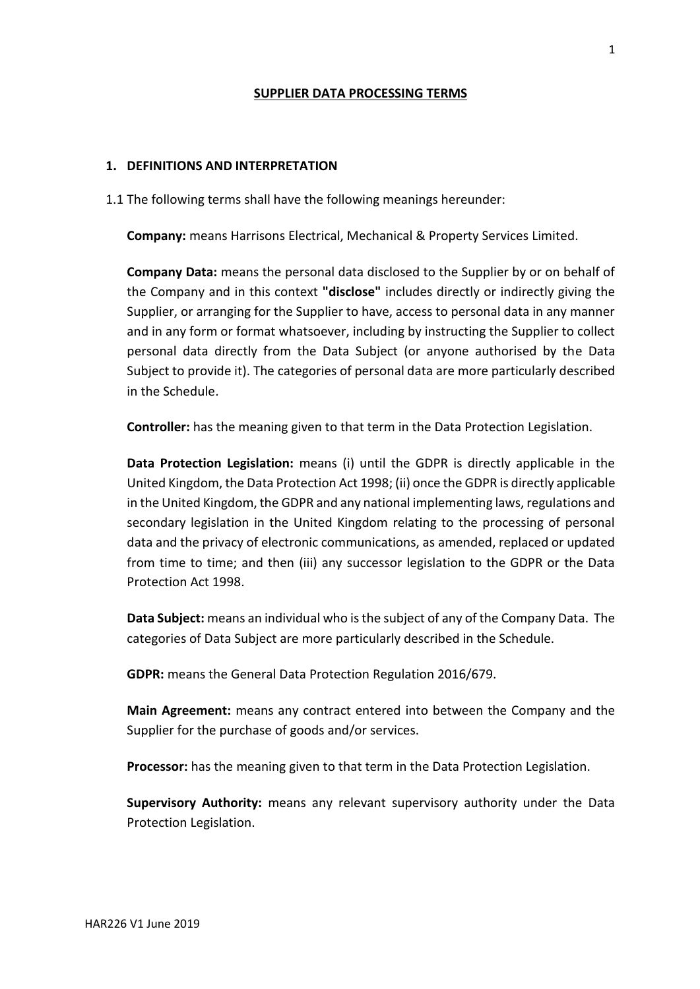## **SUPPLIER DATA PROCESSING TERMS**

### **1. DEFINITIONS AND INTERPRETATION**

1.1 The following terms shall have the following meanings hereunder:

**Company:** means Harrisons Electrical, Mechanical & Property Services Limited.

**Company Data:** means the personal data disclosed to the Supplier by or on behalf of the Company and in this context **"disclose"** includes directly or indirectly giving the Supplier, or arranging for the Supplier to have, access to personal data in any manner and in any form or format whatsoever, including by instructing the Supplier to collect personal data directly from the Data Subject (or anyone authorised by the Data Subject to provide it). The categories of personal data are more particularly described in the Schedule.

**Controller:** has the meaning given to that term in the Data Protection Legislation.

**Data Protection Legislation:** means (i) until the GDPR is directly applicable in the United Kingdom, the Data Protection Act 1998; (ii) once the GDPR is directly applicable in the United Kingdom, the GDPR and any national implementing laws, regulations and secondary legislation in the United Kingdom relating to the processing of personal data and the privacy of electronic communications, as amended, replaced or updated from time to time; and then (iii) any successor legislation to the GDPR or the Data Protection Act 1998.

**Data Subject:** means an individual who is the subject of any of the Company Data. The categories of Data Subject are more particularly described in the Schedule.

**GDPR:** means the General Data Protection Regulation 2016/679.

**Main Agreement:** means any contract entered into between the Company and the Supplier for the purchase of goods and/or services.

**Processor:** has the meaning given to that term in the Data Protection Legislation.

**Supervisory Authority:** means any relevant supervisory authority under the Data Protection Legislation.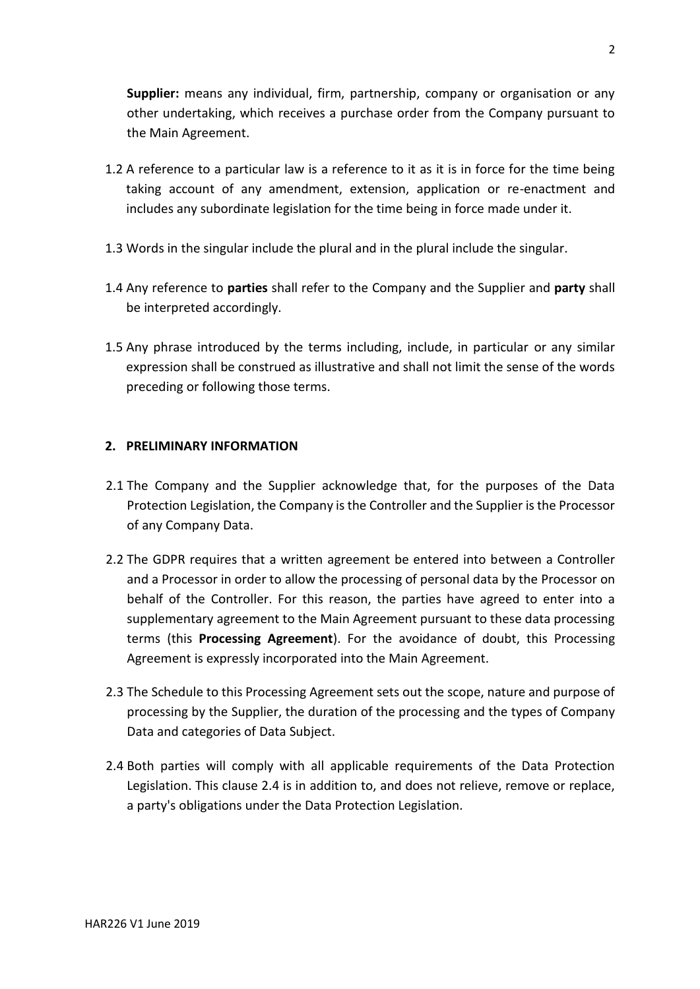**Supplier:** means any individual, firm, partnership, company or organisation or any other undertaking, which receives a purchase order from the Company pursuant to the Main Agreement.

- 1.2 A reference to a particular law is a reference to it as it is in force for the time being taking account of any amendment, extension, application or re-enactment and includes any subordinate legislation for the time being in force made under it.
- 1.3 Words in the singular include the plural and in the plural include the singular.
- 1.4 Any reference to **parties** shall refer to the Company and the Supplier and **party** shall be interpreted accordingly.
- 1.5 Any phrase introduced by the terms including, include, in particular or any similar expression shall be construed as illustrative and shall not limit the sense of the words preceding or following those terms.

# **2. PRELIMINARY INFORMATION**

- 2.1 The Company and the Supplier acknowledge that, for the purposes of the Data Protection Legislation, the Company is the Controller and the Supplier is the Processor of any Company Data.
- 2.2 The GDPR requires that a written agreement be entered into between a Controller and a Processor in order to allow the processing of personal data by the Processor on behalf of the Controller. For this reason, the parties have agreed to enter into a supplementary agreement to the Main Agreement pursuant to these data processing terms (this **Processing Agreement**). For the avoidance of doubt, this Processing Agreement is expressly incorporated into the Main Agreement.
- 2.3 The Schedule to this Processing Agreement sets out the scope, nature and purpose of processing by the Supplier, the duration of the processing and the types of Company Data and categories of Data Subject.
- 2.4 Both parties will comply with all applicable requirements of the Data Protection Legislation. This clause 2.4 is in addition to, and does not relieve, remove or replace, a party's obligations under the Data Protection Legislation.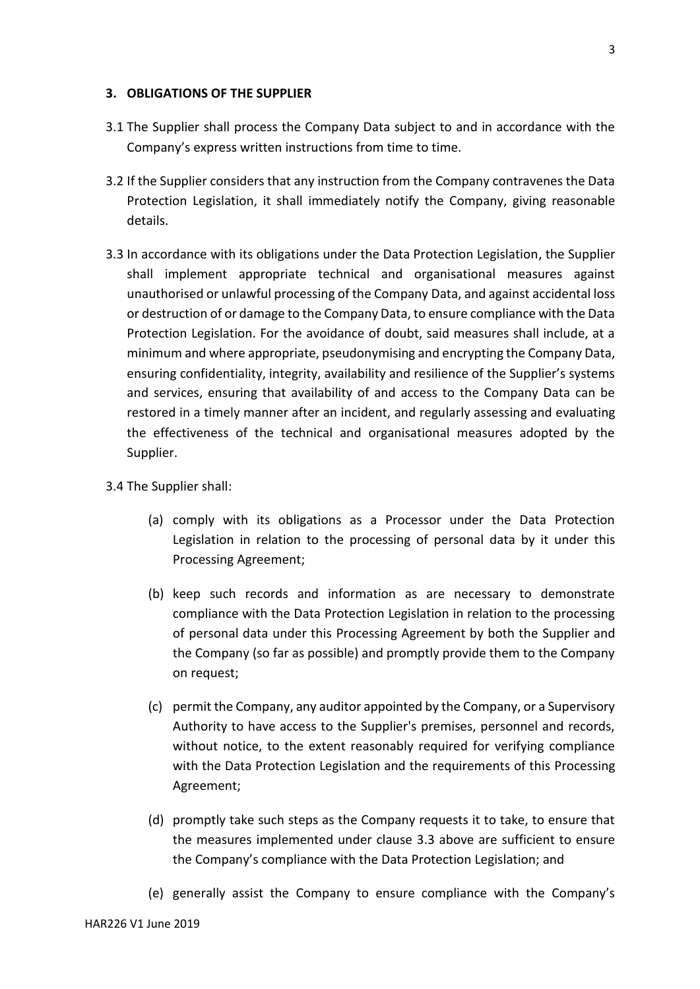#### **3. OBLIGATIONS OF THE SUPPLIER**

- 3.1 The Supplier shall process the Company Data subject to and in accordance with the Company's express written instructions from time to time.
- 3.2 If the Supplier considers that any instruction from the Company contravenes the Data Protection Legislation, it shall immediately notify the Company, giving reasonable details.
- 3.3 In accordance with its obligations under the Data Protection Legislation, the Supplier shall implement appropriate technical and organisational measures against unauthorised or unlawful processing of the Company Data, and against accidental loss or destruction of or damage to the Company Data, to ensure compliance with the Data Protection Legislation. For the avoidance of doubt, said measures shall include, at a minimum and where appropriate, pseudonymising and encrypting the Company Data, ensuring confidentiality, integrity, availability and resilience of the Supplier's systems and services, ensuring that availability of and access to the Company Data can be restored in a timely manner after an incident, and regularly assessing and evaluating the effectiveness of the technical and organisational measures adopted by the Supplier.

#### 3.4 The Supplier shall:

- (a) comply with its obligations as a Processor under the Data Protection Legislation in relation to the processing of personal data by it under this Processing Agreement;
- (b) keep such records and information as are necessary to demonstrate compliance with the Data Protection Legislation in relation to the processing of personal data under this Processing Agreement by both the Supplier and the Company (so far as possible) and promptly provide them to the Company on request;
- (c) permit the Company, any auditor appointed by the Company, or a Supervisory Authority to have access to the Supplier's premises, personnel and records, without notice, to the extent reasonably required for verifying compliance with the Data Protection Legislation and the requirements of this Processing Agreement;
- (d) promptly take such steps as the Company requests it to take, to ensure that the measures implemented under clause 3.3 above are sufficient to ensure the Company's compliance with the Data Protection Legislation; and
- (e) generally assist the Company to ensure compliance with the Company's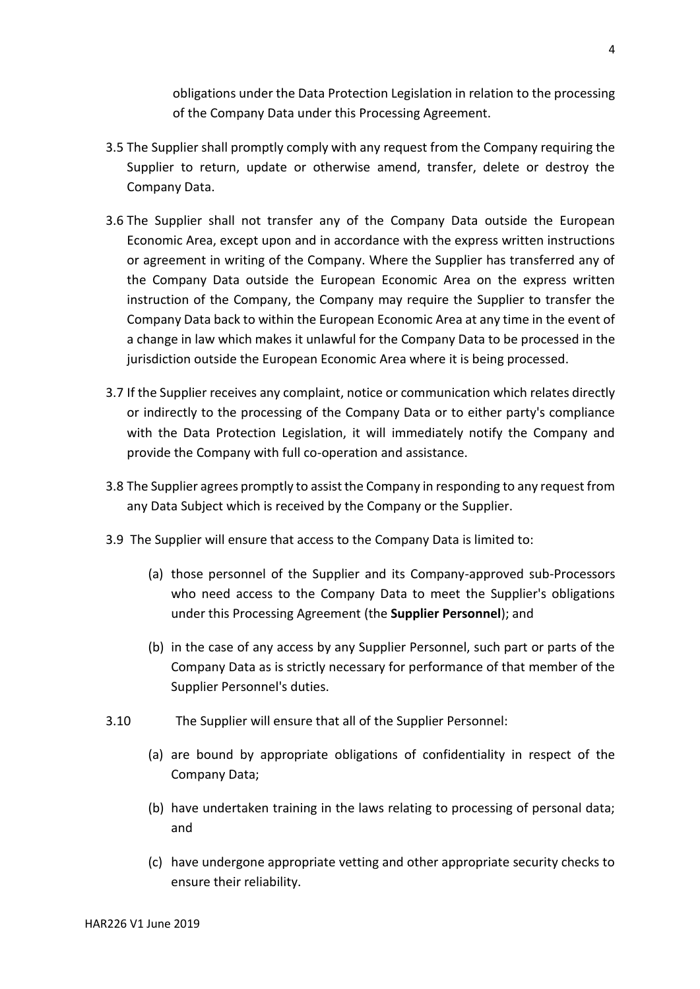obligations under the Data Protection Legislation in relation to the processing of the Company Data under this Processing Agreement.

- 3.5 The Supplier shall promptly comply with any request from the Company requiring the Supplier to return, update or otherwise amend, transfer, delete or destroy the Company Data.
- 3.6 The Supplier shall not transfer any of the Company Data outside the European Economic Area, except upon and in accordance with the express written instructions or agreement in writing of the Company. Where the Supplier has transferred any of the Company Data outside the European Economic Area on the express written instruction of the Company, the Company may require the Supplier to transfer the Company Data back to within the European Economic Area at any time in the event of a change in law which makes it unlawful for the Company Data to be processed in the jurisdiction outside the European Economic Area where it is being processed.
- 3.7 If the Supplier receives any complaint, notice or communication which relates directly or indirectly to the processing of the Company Data or to either party's compliance with the Data Protection Legislation, it will immediately notify the Company and provide the Company with full co-operation and assistance.
- 3.8 The Supplier agrees promptly to assist the Company in responding to any request from any Data Subject which is received by the Company or the Supplier.
- 3.9 The Supplier will ensure that access to the Company Data is limited to:
	- (a) those personnel of the Supplier and its Company-approved sub-Processors who need access to the Company Data to meet the Supplier's obligations under this Processing Agreement (the **Supplier Personnel**); and
	- (b) in the case of any access by any Supplier Personnel, such part or parts of the Company Data as is strictly necessary for performance of that member of the Supplier Personnel's duties.
- 3.10 The Supplier will ensure that all of the Supplier Personnel:
	- (a) are bound by appropriate obligations of confidentiality in respect of the Company Data;
	- (b) have undertaken training in the laws relating to processing of personal data; and
	- (c) have undergone appropriate vetting and other appropriate security checks to ensure their reliability.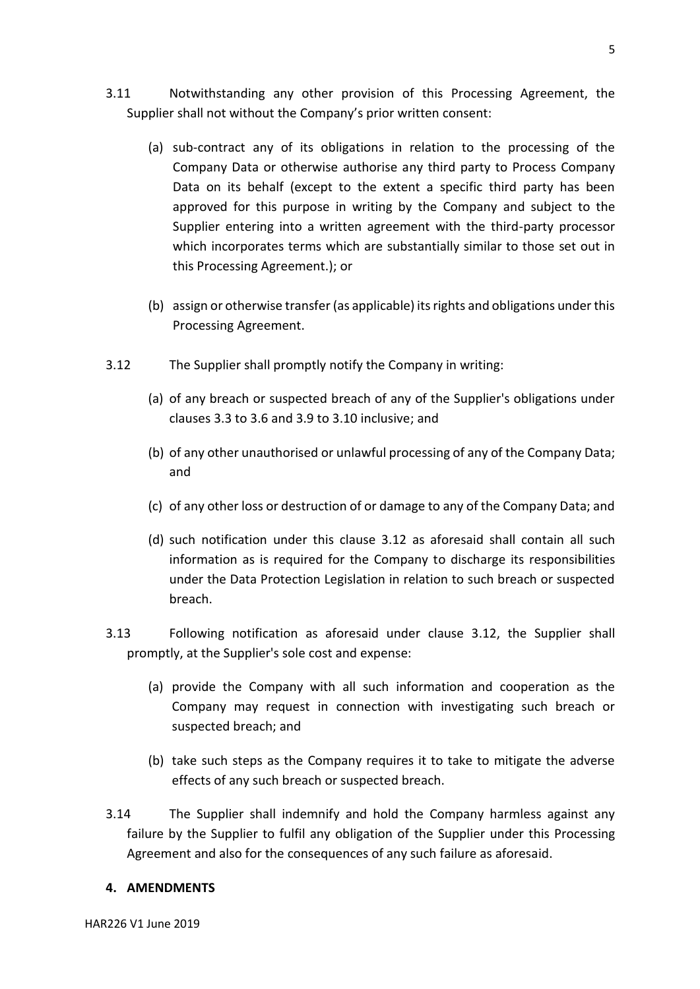- 3.11 Notwithstanding any other provision of this Processing Agreement, the Supplier shall not without the Company's prior written consent:
	- (a) sub-contract any of its obligations in relation to the processing of the Company Data or otherwise authorise any third party to Process Company Data on its behalf (except to the extent a specific third party has been approved for this purpose in writing by the Company and subject to the Supplier entering into a written agreement with the third-party processor which incorporates terms which are substantially similar to those set out in this Processing Agreement.); or
	- (b) assign or otherwise transfer (as applicable) its rights and obligations under this Processing Agreement.
- 3.12 The Supplier shall promptly notify the Company in writing:
	- (a) of any breach or suspected breach of any of the Supplier's obligations under clauses 3.3 to 3.6 and 3.9 to 3.10 inclusive; and
	- (b) of any other unauthorised or unlawful processing of any of the Company Data; and
	- (c) of any other loss or destruction of or damage to any of the Company Data; and
	- (d) such notification under this clause 3.12 as aforesaid shall contain all such information as is required for the Company to discharge its responsibilities under the Data Protection Legislation in relation to such breach or suspected breach.
- 3.13 Following notification as aforesaid under clause 3.12, the Supplier shall promptly, at the Supplier's sole cost and expense:
	- (a) provide the Company with all such information and cooperation as the Company may request in connection with investigating such breach or suspected breach; and
	- (b) take such steps as the Company requires it to take to mitigate the adverse effects of any such breach or suspected breach.
- 3.14 The Supplier shall indemnify and hold the Company harmless against any failure by the Supplier to fulfil any obligation of the Supplier under this Processing Agreement and also for the consequences of any such failure as aforesaid.

## **4. AMENDMENTS**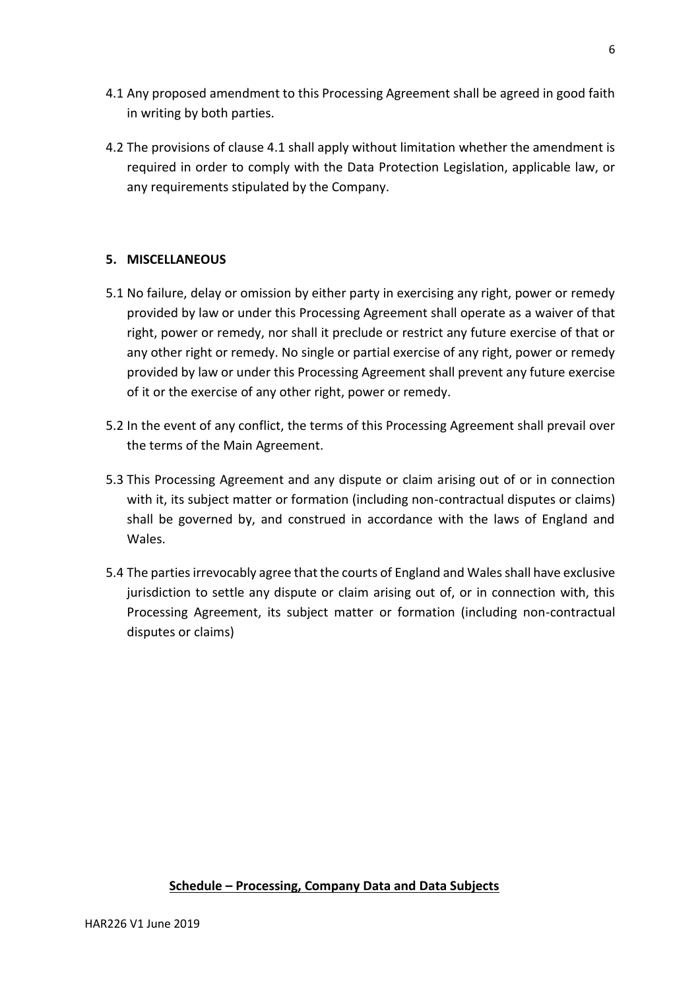- 4.1 Any proposed amendment to this Processing Agreement shall be agreed in good faith in writing by both parties.
- 4.2 The provisions of clause 4.1 shall apply without limitation whether the amendment is required in order to comply with the Data Protection Legislation, applicable law, or any requirements stipulated by the Company.

# **5. MISCELLANEOUS**

- 5.1 No failure, delay or omission by either party in exercising any right, power or remedy provided by law or under this Processing Agreement shall operate as a waiver of that right, power or remedy, nor shall it preclude or restrict any future exercise of that or any other right or remedy. No single or partial exercise of any right, power or remedy provided by law or under this Processing Agreement shall prevent any future exercise of it or the exercise of any other right, power or remedy.
- 5.2 In the event of any conflict, the terms of this Processing Agreement shall prevail over the terms of the Main Agreement.
- 5.3 This Processing Agreement and any dispute or claim arising out of or in connection with it, its subject matter or formation (including non-contractual disputes or claims) shall be governed by, and construed in accordance with the laws of England and Wales.
- 5.4 The parties irrevocably agree that the courts of England and Wales shall have exclusive jurisdiction to settle any dispute or claim arising out of, or in connection with, this Processing Agreement, its subject matter or formation (including non-contractual disputes or claims)

# **Schedule – Processing, Company Data and Data Subjects**